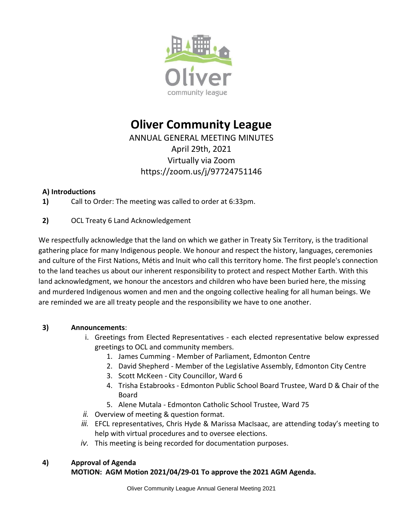

# **Oliver Community League**

ANNUAL GENERAL MEETING MINUTES April 29th, 2021 Virtually via Zoom https://zoom.us/j/97724751146

## **A) Introductions**

**1)** Call to Order: The meeting was called to order at 6:33pm.

## **2)** OCL Treaty 6 Land Acknowledgement

We respectfully acknowledge that the land on which we gather in Treaty Six Territory, is the traditional gathering place for many Indigenous people. We honour and respect the history, languages, ceremonies and culture of the First Nations, Métis and Inuit who call this territory home. The first people's connection to the land teaches us about our inherent responsibility to protect and respect Mother Earth. With this land acknowledgment, we honour the ancestors and children who have been buried here, the missing and murdered Indigenous women and men and the ongoing collective healing for all human beings. We are reminded we are all treaty people and the responsibility we have to one another.

## **3) Announcements**:

- i. Greetings from Elected Representatives each elected representative below expressed greetings to OCL and community members.
	- 1. James Cumming Member of Parliament, Edmonton Centre
	- 2. David Shepherd Member of the Legislative Assembly, Edmonton City Centre
	- 3. Scott McKeen City Councillor, Ward 6
	- 4. Trisha Estabrooks Edmonton Public School Board Trustee, Ward D & Chair of the Board
	- 5. Alene Mutala Edmonton Catholic School Trustee, Ward 75
- *ii.* Overview of meeting & question format.
- *iii.* EFCL representatives, Chris Hyde & Marissa MacIsaac, are attending today's meeting to help with virtual procedures and to oversee elections.
- *iv.* This meeting is being recorded for documentation purposes.

## **4) Approval of Agenda**

## **MOTION: AGM Motion 2021/04/29-01 To approve the 2021 AGM Agenda.**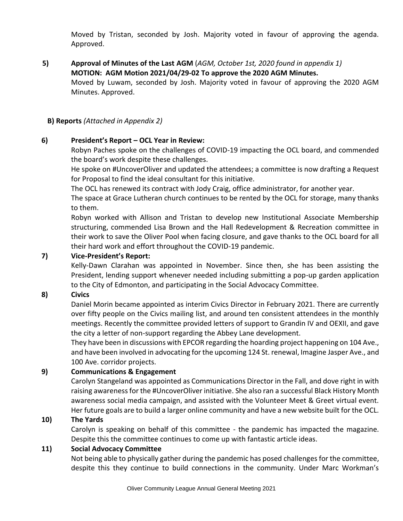Moved by Tristan, seconded by Josh. Majority voted in favour of approving the agenda. Approved.

**5) Approval of Minutes of the Last AGM** (*AGM, October 1st, 2020 found in appendix 1)* **MOTION: AGM Motion 2021/04/29-02 To approve the 2020 AGM Minutes.**

Moved by Luwam, seconded by Josh. Majority voted in favour of approving the 2020 AGM Minutes. Approved.

#### **B) Reports** *(Attached in Appendix 2)*

#### **6) President's Report – OCL Year in Review:**

Robyn Paches spoke on the challenges of COVID-19 impacting the OCL board, and commended the board's work despite these challenges.

He spoke on #UncoverOliver and updated the attendees; a committee is now drafting a Request for Proposal to find the ideal consultant for this initiative.

The OCL has renewed its contract with Jody Craig, office administrator, for another year.

The space at Grace Lutheran church continues to be rented by the OCL for storage, many thanks to them.

Robyn worked with Allison and Tristan to develop new Institutional Associate Membership structuring, commended Lisa Brown and the Hall Redevelopment & Recreation committee in their work to save the Oliver Pool when facing closure, and gave thanks to the OCL board for all their hard work and effort throughout the COVID-19 pandemic.

#### **7) Vice-President's Report:**

Kelly-Dawn Clarahan was appointed in November. Since then, she has been assisting the President, lending support whenever needed including submitting a pop-up garden application to the City of Edmonton, and participating in the Social Advocacy Committee.

#### **8) Civics**

Daniel Morin became appointed as interim Civics Director in February 2021. There are currently over fifty people on the Civics mailing list, and around ten consistent attendees in the monthly meetings. Recently the committee provided letters of support to Grandin IV and OEXII, and gave the city a letter of non-support regarding the Abbey Lane development.

They have been in discussions with EPCOR regarding the hoarding project happening on 104 Ave., and have been involved in advocating for the upcoming 124 St. renewal, Imagine Jasper Ave., and 100 Ave. corridor projects.

#### **9) Communications & Engagement**

Carolyn Stangeland was appointed as Communications Director in the Fall, and dove right in with raising awareness for the #UncoverOliver initiative. She also ran a successful Black History Month awareness social media campaign, and assisted with the Volunteer Meet & Greet virtual event. Her future goals are to build a larger online community and have a new website built for the OCL.

#### **10) The Yards**

Carolyn is speaking on behalf of this committee - the pandemic has impacted the magazine. Despite this the committee continues to come up with fantastic article ideas.

#### **11) Social Advocacy Committee**

Not being able to physically gather during the pandemic has posed challenges for the committee, despite this they continue to build connections in the community. Under Marc Workman's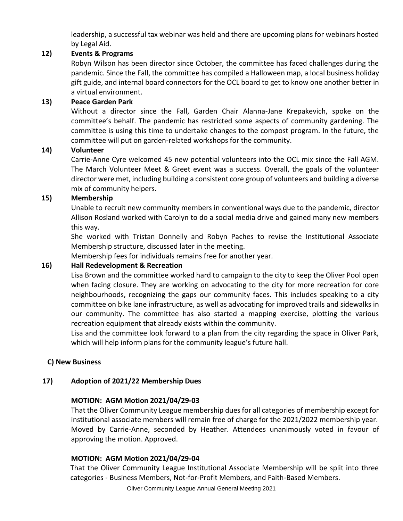leadership, a successful tax webinar was held and there are upcoming plans for webinars hosted by Legal Aid.

#### **12) Events & Programs**

Robyn Wilson has been director since October, the committee has faced challenges during the pandemic. Since the Fall, the committee has compiled a Halloween map, a local business holiday gift guide, and internal board connectors for the OCL board to get to know one another better in a virtual environment.

#### **13) Peace Garden Park**

Without a director since the Fall, Garden Chair Alanna-Jane Krepakevich, spoke on the committee's behalf. The pandemic has restricted some aspects of community gardening. The committee is using this time to undertake changes to the compost program. In the future, the committee will put on garden-related workshops for the community.

#### **14) Volunteer**

Carrie-Anne Cyre welcomed 45 new potential volunteers into the OCL mix since the Fall AGM. The March Volunteer Meet & Greet event was a success. Overall, the goals of the volunteer director were met, including building a consistent core group of volunteers and building a diverse mix of community helpers.

#### **15) Membership**

Unable to recruit new community members in conventional ways due to the pandemic, director Allison Rosland worked with Carolyn to do a social media drive and gained many new members this way.

She worked with Tristan Donnelly and Robyn Paches to revise the Institutional Associate Membership structure, discussed later in the meeting.

Membership fees for individuals remains free for another year.

#### **16) Hall Redevelopment & Recreation**

Lisa Brown and the committee worked hard to campaign to the city to keep the Oliver Pool open when facing closure. They are working on advocating to the city for more recreation for core neighbourhoods, recognizing the gaps our community faces. This includes speaking to a city committee on bike lane infrastructure, as well as advocating for improved trails and sidewalks in our community. The committee has also started a mapping exercise, plotting the various recreation equipment that already exists within the community.

Lisa and the committee look forward to a plan from the city regarding the space in Oliver Park, which will help inform plans for the community league's future hall.

#### **C) New Business**

#### **17) Adoption of 2021/22 Membership Dues**

#### **MOTION: AGM Motion 2021/04/29-03**

That the Oliver Community League membership dues for all categories of membership except for institutional associate members will remain free of charge for the 2021/2022 membership year. Moved by Carrie-Anne, seconded by Heather. Attendees unanimously voted in favour of approving the motion. Approved.

#### **MOTION: AGM Motion 2021/04/29-04**

That the Oliver Community League Institutional Associate Membership will be split into three categories - Business Members, Not-for-Profit Members, and Faith-Based Members.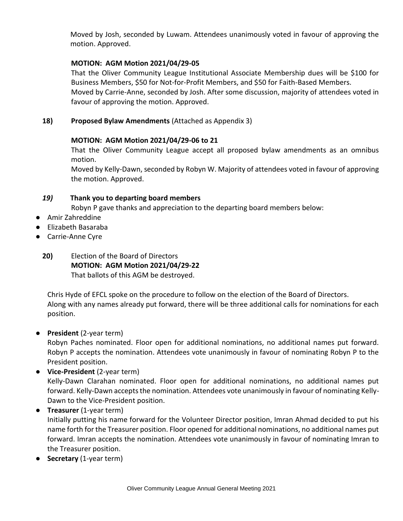Moved by Josh, seconded by Luwam. Attendees unanimously voted in favour of approving the motion. Approved.

### **MOTION: AGM Motion 2021/04/29-05**

That the Oliver Community League Institutional Associate Membership dues will be \$100 for Business Members, \$50 for Not-for-Profit Members, and \$50 for Faith-Based Members. Moved by Carrie-Anne, seconded by Josh. After some discussion, majority of attendees voted in favour of approving the motion. Approved.

**18) Proposed Bylaw Amendments** (Attached as Appendix 3)

#### **MOTION: AGM Motion 2021/04/29-06 to 21**

That the Oliver Community League accept all proposed bylaw amendments as an omnibus motion.

Moved by Kelly-Dawn, seconded by Robyn W. Majority of attendees voted in favour of approving the motion. Approved.

### *19)* **Thank you to departing board members**

Robyn P gave thanks and appreciation to the departing board members below:

- Amir Zahreddine
- Elizabeth Basaraba
- Carrie-Anne Cyre
	- **20)** Election of the Board of Directors **MOTION: AGM Motion 2021/04/29-22** That ballots of this AGM be destroyed.

Chris Hyde of EFCL spoke on the procedure to follow on the election of the Board of Directors. Along with any names already put forward, there will be three additional calls for nominations for each position.

● **President** (2-year term)

Robyn Paches nominated. Floor open for additional nominations, no additional names put forward. Robyn P accepts the nomination. Attendees vote unanimously in favour of nominating Robyn P to the President position.

● **Vice-President** (2-year term)

Kelly-Dawn Clarahan nominated. Floor open for additional nominations, no additional names put forward. Kelly-Dawn accepts the nomination. Attendees vote unanimously in favour of nominating Kelly-Dawn to the Vice-President position.

● **Treasurer** (1-year term)

Initially putting his name forward for the Volunteer Director position, Imran Ahmad decided to put his name forth for the Treasurer position. Floor opened for additional nominations, no additional names put forward. Imran accepts the nomination. Attendees vote unanimously in favour of nominating Imran to the Treasurer position.

● **Secretary** (1-year term)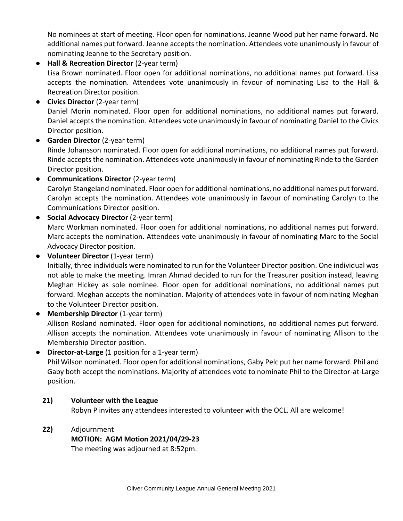No nominees at start of meeting. Floor open for nominations. Jeanne Wood put her name forward. No additional names put forward. Jeanne accepts the nomination. Attendees vote unanimously in favour of nominating Jeanne to the Secretary position.

● **Hall & Recreation Director** (2-year term) Lisa Brown nominated. Floor open for additional nominations, no additional names put forward. Lisa accepts the nomination. Attendees vote unanimously in favour of nominating Lisa to the Hall & Recreation Director position.

- **Civics Director** (2-year term) Daniel Morin nominated. Floor open for additional nominations, no additional names put forward. Daniel accepts the nomination. Attendees vote unanimously in favour of nominating Daniel to the Civics Director position.
- **Garden Director** (2-year term) Rinde Johansson nominated. Floor open for additional nominations, no additional names put forward. Rinde accepts the nomination. Attendees vote unanimously in favour of nominating Rinde to the Garden Director position.
- **Communications Director** (2-year term) Carolyn Stangeland nominated. Floor open for additional nominations, no additional names put forward. Carolyn accepts the nomination. Attendees vote unanimously in favour of nominating Carolyn to the Communications Director position.
- **Social Advocacy Director** (2-year term) Marc Workman nominated. Floor open for additional nominations, no additional names put forward. Marc accepts the nomination. Attendees vote unanimously in favour of nominating Marc to the Social Advocacy Director position.
- **Volunteer Director** (1-year term) Initially, three individuals were nominated to run for the Volunteer Director position. One individual was not able to make the meeting. Imran Ahmad decided to run for the Treasurer position instead, leaving Meghan Hickey as sole nominee. Floor open for additional nominations, no additional names put forward. Meghan accepts the nomination. Majority of attendees vote in favour of nominating Meghan to the Volunteer Director position.
- **Membership Director** (1-year term) Allison Rosland nominated. Floor open for additional nominations, no additional names put forward. Allison accepts the nomination. Attendees vote unanimously in favour of nominating Allison to the Membership Director position.
- **Director-at-Large** (1 position for a 1-year term) Phil Wilson nominated. Floor open for additional nominations, Gaby Pelc put her name forward. Phil and Gaby both accept the nominations. Majority of attendees vote to nominate Phil to the Director-at-Large position.

#### **21) Volunteer with the League** Robyn P invites any attendees interested to volunteer with the OCL. All are welcome!

**22)** Adjournment

## **MOTION: AGM Motion 2021/04/29-23**

The meeting was adjourned at 8:52pm.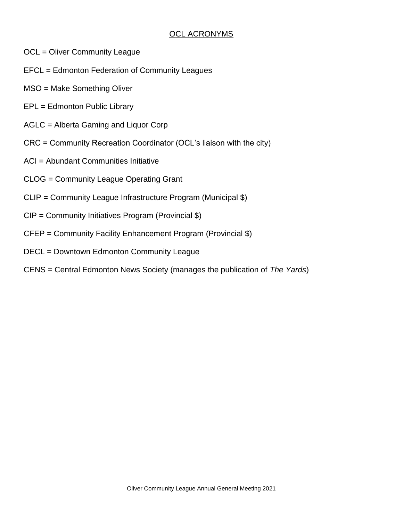## OCL ACRONYMS

- OCL = Oliver Community League
- EFCL = Edmonton Federation of Community Leagues
- MSO = Make Something Oliver
- EPL = Edmonton Public Library
- AGLC = Alberta Gaming and Liquor Corp
- CRC = Community Recreation Coordinator (OCL's liaison with the city)
- ACI = Abundant Communities Initiative
- CLOG = Community League Operating Grant
- CLIP = Community League Infrastructure Program (Municipal \$)
- CIP = Community Initiatives Program (Provincial \$)
- CFEP = Community Facility Enhancement Program (Provincial \$)
- DECL = Downtown Edmonton Community League
- CENS = Central Edmonton News Society (manages the publication of *The Yards*)